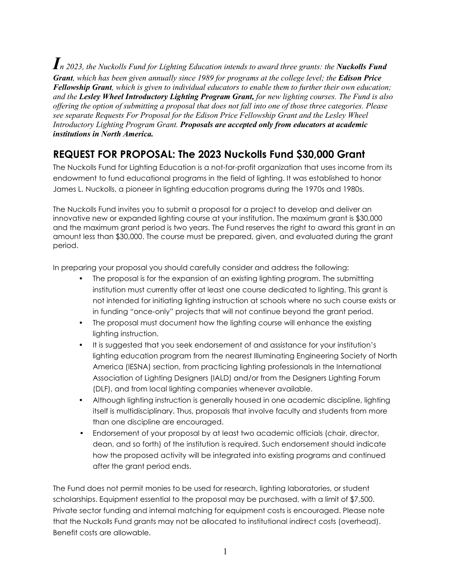*In 2023, the Nuckolls Fund for Lighting Education intends to award three grants: the Nuckolls Fund Grant, which has been given annually since 1989 for programs at the college level; the Edison Price Fellowship Grant, which is given to individual educators to enable them to further their own education; and the Lesley Wheel Introductory Lighting Program Grant, for new lighting courses. The Fund is also offering the option of submitting a proposal that does not fall into one of those three categories. Please see separate Requests For Proposal for the Edison Price Fellowship Grant and the Lesley Wheel Introductory Lighting Program Grant. Proposals are accepted only from educators at academic institutions in North America.*

# **REQUEST FOR PROPOSAL: The 2023 Nuckolls Fund \$30,000 Grant**

The Nuckolls Fund for Lighting Education is a not-for-profit organization that uses income from its endowment to fund educational programs in the field of lighting. It was established to honor James L. Nuckolls, a pioneer in lighting education programs during the 1970s and 1980s.

The Nuckolls Fund invites you to submit a proposal for a project to develop and deliver an innovative new or expanded lighting course at your institution. The maximum grant is \$30,000 and the maximum grant period is two years. The Fund reserves the right to award this grant in an amount less than \$30,000. The course must be prepared, given, and evaluated during the grant period.

In preparing your proposal you should carefully consider and address the following:

- The proposal is for the expansion of an existing lighting program. The submitting institution must currently offer at least one course dedicated to lighting. This grant is not intended for initiating lighting instruction at schools where no such course exists or in funding "once-only" projects that will not continue beyond the grant period.
- The proposal must document how the lighting course will enhance the existing lighting instruction.
- It is suggested that you seek endorsement of and assistance for your institution's lighting education program from the nearest Illuminating Engineering Society of North America (IESNA) section, from practicing lighting professionals in the International Association of Lighting Designers (IALD) and/or from the Designers Lighting Forum (DLF), and from local lighting companies whenever available.
- Although lighting instruction is generally housed in one academic discipline, lighting itself is multidisciplinary. Thus, proposals that involve faculty and students from more than one discipline are encouraged.
- Endorsement of your proposal by at least two academic officials (chair, director, dean, and so forth) of the institution is required. Such endorsement should indicate how the proposed activity will be integrated into existing programs and continued after the grant period ends.

The Fund does not permit monies to be used for research, lighting laboratories, or student scholarships. Equipment essential to the proposal may be purchased, with a limit of \$7,500. Private sector funding and internal matching for equipment costs is encouraged. Please note that the Nuckolls Fund grants may not be allocated to institutional indirect costs (overhead). Benefit costs are allowable.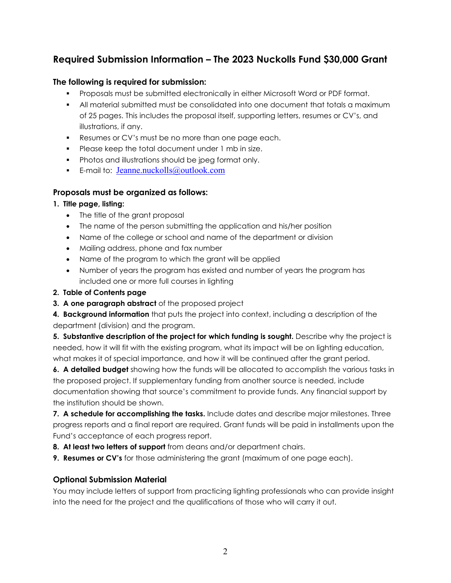## **Required Submission Information – The 2023 Nuckolls Fund \$30,000 Grant**

#### **The following is required for submission:**

- Proposals must be submitted electronically in either Microsoft Word or PDF format.
- All material submitted must be consolidated into one document that totals a maximum of 25 pages. This includes the proposal itself, supporting letters, resumes or CV's, and illustrations, if any.
- Resumes or CV's must be no more than one page each.
- **Please keep the total document under 1 mb in size.**
- **Photos and illustrations should be jpeg format only.**
- E-mail to:  $Jeanne.nuckolls@outlook.com$

#### **Proposals must be organized as follows:**

#### **1. Title page, listing:**

- The title of the grant proposal
- The name of the person submitting the application and his/her position
- Name of the college or school and name of the department or division
- Mailing address, phone and fax number
- Name of the program to which the grant will be applied
- Number of years the program has existed and number of years the program has included one or more full courses in lighting

#### **2. Table of Contents page**

**3. A one paragraph abstract** of the proposed project

**4. Background information** that puts the project into context, including a description of the department (division) and the program.

**5. Substantive description of the project for which funding is sought.** Describe why the project is needed, how it will fit with the existing program, what its impact will be on lighting education, what makes it of special importance, and how it will be continued after the grant period.

**6. A detailed budget** showing how the funds will be allocated to accomplish the various tasks in the proposed project. If supplementary funding from another source is needed, include documentation showing that source's commitment to provide funds. Any financial support by the institution should be shown.

**7. A schedule for accomplishing the tasks.** Include dates and describe major milestones. Three progress reports and a final report are required. Grant funds will be paid in installments upon the Fund's acceptance of each progress report.

- **8. At least two letters of support** from deans and/or department chairs.
- **9. Resumes or CV's** for those administering the grant (maximum of one page each).

#### **Optional Submission Material**

You may include letters of support from practicing lighting professionals who can provide insight into the need for the project and the qualifications of those who will carry it out.